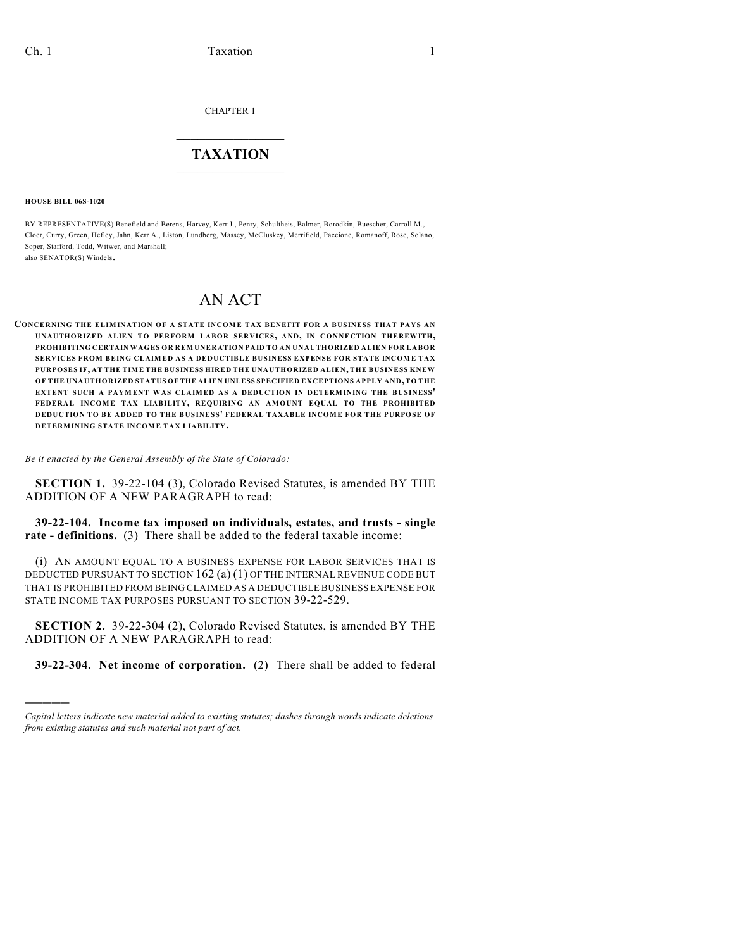CHAPTER 1

## $\mathcal{L}_\text{max}$  . The set of the set of the set of the set of the set of the set of the set of the set of the set of the set of the set of the set of the set of the set of the set of the set of the set of the set of the set **TAXATION**  $\_$

**HOUSE BILL 06S-1020**

)))))

BY REPRESENTATIVE(S) Benefield and Berens, Harvey, Kerr J., Penry, Schultheis, Balmer, Borodkin, Buescher, Carroll M., Cloer, Curry, Green, Hefley, Jahn, Kerr A., Liston, Lundberg, Massey, McCluskey, Merrifield, Paccione, Romanoff, Rose, Solano, Soper, Stafford, Todd, Witwer, and Marshall; also SENATOR(S) Windels.

## AN ACT

**CONCERNING THE ELIM INATION OF A STATE INCOME TAX BENEFIT FOR A BUSINESS THAT PAYS AN UNAUTHORIZED ALIEN TO PERFORM LABOR SERVICES, AND, IN CONNECTION THEREWITH, PROHIBITING CERTAIN WAGES OR REMUNERATION PAID TO AN UNAUTHORIZED ALIEN FOR LABOR SERVICES FROM BEING CLAIMED AS A DEDUCTIBLE BUSINESS EXPENSE FOR STATE INCOME TAX PURPOSES IF, AT THE TIME THE BUSINESS HIRED THE UNAUTHORIZED ALIEN, THE BUSINESS KNEW OF THE UNAUTHORIZED STATUS OF THE ALIEN UNLESS SPECIFIED EXCEPTIONS APPLY AND, TO THE EXTENT SUCH A PAYMENT WAS CLAIMED AS A DEDUCTION IN DETERMINING THE BUSINESS' FEDERAL INCOME TAX LIABILITY, REQUIRING AN AMOUNT EQUAL TO THE PROHIBITED DEDUCTION TO BE ADDED TO THE BUSINESS' FEDERAL TAXABLE INCOME FOR THE PURPOSE OF DETERMINING STATE INCOME TAX LIABILITY.**

*Be it enacted by the General Assembly of the State of Colorado:*

**SECTION 1.** 39-22-104 (3), Colorado Revised Statutes, is amended BY THE ADDITION OF A NEW PARAGRAPH to read:

**39-22-104. Income tax imposed on individuals, estates, and trusts - single rate - definitions.** (3) There shall be added to the federal taxable income:

(i) AN AMOUNT EQUAL TO A BUSINESS EXPENSE FOR LABOR SERVICES THAT IS DEDUCTED PURSUANT TO SECTION 162 (a) (1) OF THE INTERNAL REVENUE CODE BUT THAT IS PROHIBITED FROM BEING CLAIMED AS A DEDUCTIBLE BUSINESS EXPENSE FOR STATE INCOME TAX PURPOSES PURSUANT TO SECTION 39-22-529.

**SECTION 2.** 39-22-304 (2), Colorado Revised Statutes, is amended BY THE ADDITION OF A NEW PARAGRAPH to read:

**39-22-304. Net income of corporation.** (2) There shall be added to federal

*Capital letters indicate new material added to existing statutes; dashes through words indicate deletions from existing statutes and such material not part of act.*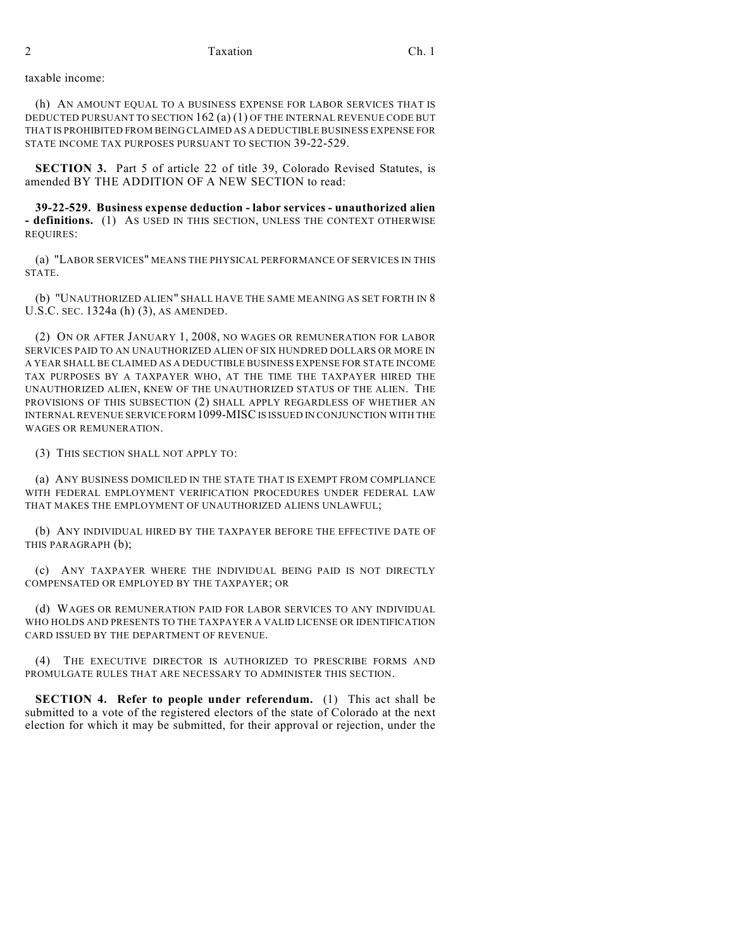## taxable income:

(h) AN AMOUNT EQUAL TO A BUSINESS EXPENSE FOR LABOR SERVICES THAT IS DEDUCTED PURSUANT TO SECTION 162 (a) (1) OF THE INTERNAL REVENUE CODE BUT THAT IS PROHIBITED FROM BEING CLAIMED AS A DEDUCTIBLE BUSINESS EXPENSE FOR STATE INCOME TAX PURPOSES PURSUANT TO SECTION 39-22-529.

**SECTION 3.** Part 5 of article 22 of title 39, Colorado Revised Statutes, is amended BY THE ADDITION OF A NEW SECTION to read:

**39-22-529. Business expense deduction - labor services - unauthorized alien - definitions.** (1) AS USED IN THIS SECTION, UNLESS THE CONTEXT OTHERWISE REQUIRES:

(a) "LABOR SERVICES" MEANS THE PHYSICAL PERFORMANCE OF SERVICES IN THIS STATE.

(b) "UNAUTHORIZED ALIEN" SHALL HAVE THE SAME MEANING AS SET FORTH IN 8 U.S.C. SEC. 1324a (h) (3), AS AMENDED.

(2) ON OR AFTER JANUARY 1, 2008, NO WAGES OR REMUNERATION FOR LABOR SERVICES PAID TO AN UNAUTHORIZED ALIEN OF SIX HUNDRED DOLLARS OR MORE IN A YEAR SHALL BE CLAIMED AS A DEDUCTIBLE BUSINESS EXPENSE FOR STATE INCOME TAX PURPOSES BY A TAXPAYER WHO, AT THE TIME THE TAXPAYER HIRED THE UNAUTHORIZED ALIEN, KNEW OF THE UNAUTHORIZED STATUS OF THE ALIEN. THE PROVISIONS OF THIS SUBSECTION (2) SHALL APPLY REGARDLESS OF WHETHER AN INTERNAL REVENUE SERVICE FORM 1099-MISC IS ISSUED IN CONJUNCTION WITH THE WAGES OR REMUNERATION.

(3) THIS SECTION SHALL NOT APPLY TO:

(a) ANY BUSINESS DOMICILED IN THE STATE THAT IS EXEMPT FROM COMPLIANCE WITH FEDERAL EMPLOYMENT VERIFICATION PROCEDURES UNDER FEDERAL LAW THAT MAKES THE EMPLOYMENT OF UNAUTHORIZED ALIENS UNLAWFUL;

(b) ANY INDIVIDUAL HIRED BY THE TAXPAYER BEFORE THE EFFECTIVE DATE OF THIS PARAGRAPH (b);

(c) ANY TAXPAYER WHERE THE INDIVIDUAL BEING PAID IS NOT DIRECTLY COMPENSATED OR EMPLOYED BY THE TAXPAYER; OR

(d) WAGES OR REMUNERATION PAID FOR LABOR SERVICES TO ANY INDIVIDUAL WHO HOLDS AND PRESENTS TO THE TAXPAYER A VALID LICENSE OR IDENTIFICATION CARD ISSUED BY THE DEPARTMENT OF REVENUE.

(4) THE EXECUTIVE DIRECTOR IS AUTHORIZED TO PRESCRIBE FORMS AND PROMULGATE RULES THAT ARE NECESSARY TO ADMINISTER THIS SECTION.

**SECTION 4. Refer to people under referendum.** (1) This act shall be submitted to a vote of the registered electors of the state of Colorado at the next election for which it may be submitted, for their approval or rejection, under the